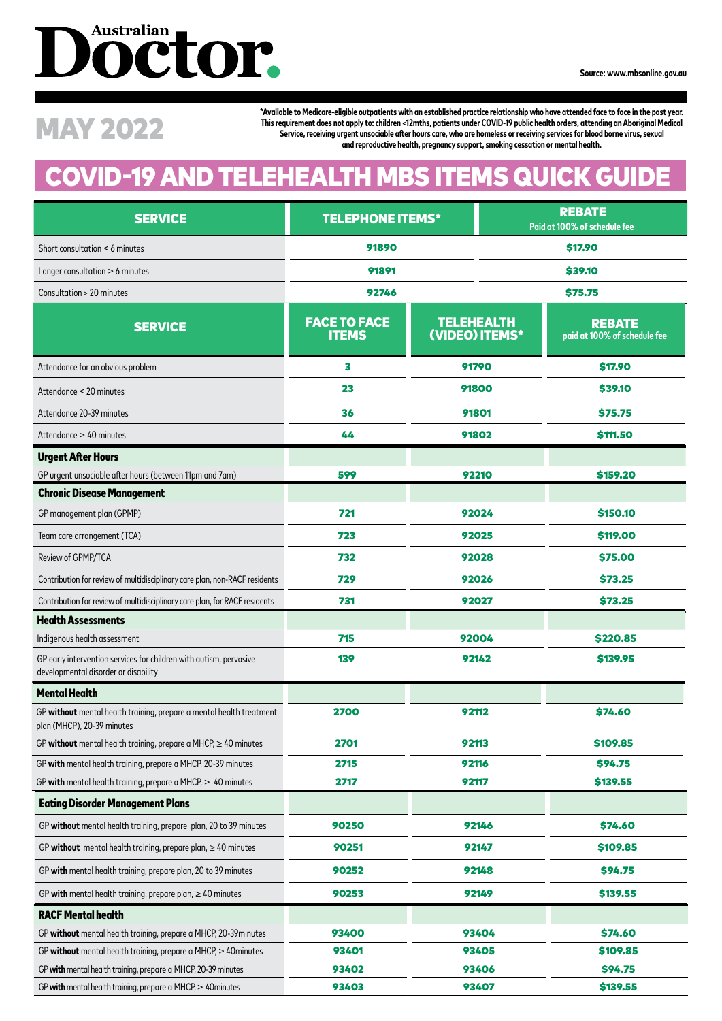# Doctor.

**\*Available to Medicare-eligible outpatients with an established practice relationship who have attended face to face in the past year. This requirement does not apply to: children <12mths, patients under COVID-19 public health orders, attending an Aboriginal Medical**  This requirement does not apply to: children <12mths, patients under COVID-19 public health orders, attending an Aboriginal Me<br>Service, receiving urgent unsociable after hours care, who are homeless or receiving services f **and reproductive health, pregnancy support, smoking cessation or mental health.**

### **COVID-19 AND TELEHEALTH MBS ITEMS QUICK GUID**

| <b>SERVICE</b>                                                                                             | <b>TELEPHONE ITEMS*</b>             |                                     | <b>REBATE</b><br>Paid at 100% of schedule fee |                                               |  |
|------------------------------------------------------------------------------------------------------------|-------------------------------------|-------------------------------------|-----------------------------------------------|-----------------------------------------------|--|
| Short consultation < 6 minutes                                                                             | 91890                               |                                     | \$17.90                                       |                                               |  |
| Longer consultation $\geq 6$ minutes                                                                       | 91891                               |                                     | <b>\$39.10</b>                                |                                               |  |
| Consultation > 20 minutes                                                                                  | 92746                               |                                     | \$75.75                                       |                                               |  |
| <b>SERVICE</b>                                                                                             | <b>FACE TO FACE</b><br><b>ITEMS</b> | <b>TELEHEALTH</b><br>(VIDEO) ITEMS* |                                               | <b>REBATE</b><br>paid at 100% of schedule fee |  |
| Attendance for an obvious problem                                                                          | з                                   | 91790                               |                                               | \$17.90                                       |  |
| Attendance < 20 minutes                                                                                    | 23                                  | 91800                               |                                               | \$39.10                                       |  |
| Attendance 20-39 minutes                                                                                   | 36                                  | 91801                               |                                               | \$75.75                                       |  |
| Attendance $\geq 40$ minutes                                                                               | 44                                  | 91802                               |                                               | \$111.50                                      |  |
| <b>Urgent After Hours</b>                                                                                  |                                     |                                     |                                               |                                               |  |
| GP urgent unsociable after hours (between 11pm and 7am)                                                    | 599                                 | 92210                               |                                               | \$159.20                                      |  |
| <b>Chronic Disease Management</b>                                                                          |                                     |                                     |                                               |                                               |  |
| GP management plan (GPMP)                                                                                  | 721                                 | 92024                               |                                               | \$150.10                                      |  |
| Team care arrangement (TCA)                                                                                | 723                                 | 92025                               |                                               | \$119.00                                      |  |
| Review of GPMP/TCA                                                                                         | 732                                 | 92028                               |                                               | \$75.00                                       |  |
| Contribution for review of multidisciplinary care plan, non-RACF residents                                 | 729                                 | 92026                               |                                               | \$73.25                                       |  |
| Contribution for review of multidisciplinary care plan, for RACF residents                                 | 731                                 | 92027                               |                                               | \$73.25                                       |  |
| <b>Health Assessments</b>                                                                                  |                                     |                                     |                                               |                                               |  |
| Indigenous health assessment                                                                               | 715                                 | 92004                               |                                               | \$220.85                                      |  |
| GP early intervention services for children with autism, pervasive<br>developmental disorder or disability | 139                                 | 92142                               |                                               | \$139.95                                      |  |
| <b>Mental Health</b>                                                                                       |                                     |                                     |                                               |                                               |  |
| GP without mental health training, prepare a mental health treatment<br>plan (MHCP), 20-39 minutes         | 2700                                | 92112                               |                                               | \$74.60                                       |  |
| GP without mental health training, prepare a MHCP, $\geq 40$ minutes                                       | 2701                                | 92113                               |                                               | \$109.85                                      |  |
| GP with mental health training, prepare a MHCP, 20-39 minutes                                              | 2715                                | 92116                               |                                               | \$94.75                                       |  |
| GP with mental health training, prepare a MHCP, $\geq 40$ minutes                                          | 2717                                | 92117                               |                                               | \$139.55                                      |  |
| <b>Eating Disorder Management Plans</b>                                                                    |                                     |                                     |                                               |                                               |  |
| GP without mental health training, prepare plan, 20 to 39 minutes                                          | 90250                               | 92146                               |                                               | \$74.60                                       |  |
| GP without mental health training, prepare plan, $\geq 40$ minutes                                         | 90251                               | 92147                               |                                               | \$109.85                                      |  |
| GP with mental health training, prepare plan, 20 to 39 minutes                                             | 90252                               | 92148                               |                                               | \$94.75                                       |  |
| GP with mental health training, prepare plan, $\geq 40$ minutes                                            | 90253                               | 92149                               |                                               | \$139.55                                      |  |
| <b>RACF Mental health</b>                                                                                  |                                     |                                     |                                               |                                               |  |
| GP without mental health training, prepare a MHCP, 20-39 minutes                                           | 93400                               | 93404                               |                                               | \$74.60                                       |  |
| GP without mental health training, prepare a MHCP, $\geq$ 40 minutes                                       | 93401                               | 93405                               |                                               | \$109.85                                      |  |
| GP with mental health training, prepare a MHCP, 20-39 minutes                                              | 93402                               | 93406                               |                                               | \$94.75                                       |  |
| GP with mental health training, prepare a MHCP, $\geq 40$ minutes                                          | 93403                               | 93407                               |                                               | \$139.55                                      |  |